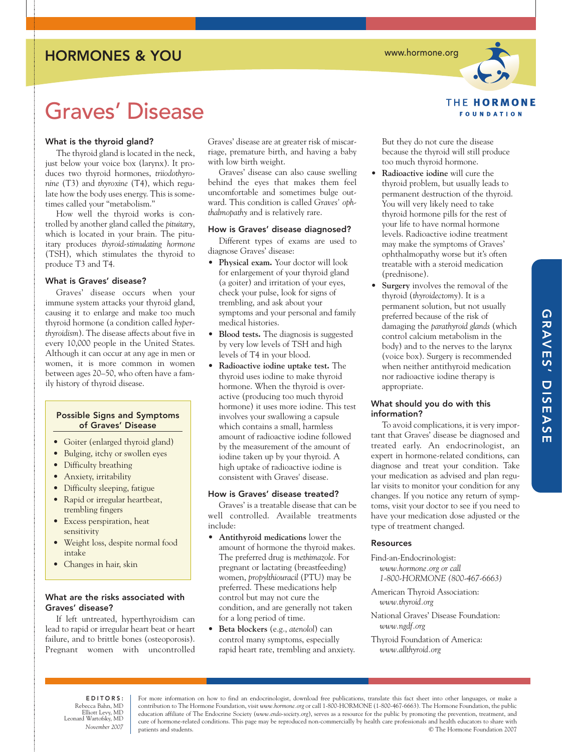## HORMONES & YOU

Graves' Disease

## What is the thyroid gland?

The thyroid gland is located in the neck, just below your voice box (larynx). It produces two thyroid hormones, *triiodothyronine* (T3) and *thyroxine* (T4), which regulate how the body uses energy. This is sometimes called your "metabolism."

How well the thyroid works is controlled by another gland called the *pituitary*, which is located in your brain. The pituitary produces *thyroid-stimulating hormone* (TSH), which stimulates the thyroid to produce T3 and T4.

## What is Graves' disease?

Graves' disease occurs when your immune system attacks your thyroid gland, causing it to enlarge and make too much thyroid hormone (a condition called *hyperthyroidism*). The disease affects about five in every 10,000 people in the United States. Although it can occur at any age in men or women, it is more common in women between ages 20–50, who often have a family history of thyroid disease.

## Possible Signs and Symptoms of Graves' Disease

- Goiter (enlarged thyroid gland)
- Bulging, itchy or swollen eyes
- Difficulty breathing
- Anxiety, irritability
- Difficulty sleeping, fatigue
- Rapid or irregular heartbeat, trembling fingers
- Excess perspiration, heat sensitivity
- Weight loss, despite normal food intake
- Changes in hair, skin

## What are the risks associated with Graves' disease?

If left untreated, hyperthyroidism can lead to rapid or irregular heart beat or heart failure, and to brittle bones (osteoporosis). Pregnant women with uncontrolled Graves' disease are at greater risk of miscarriage, premature birth, and having a baby with low birth weight.

Graves' disease can also cause swelling behind the eyes that makes them feel uncomfortable and sometimes bulge outward. This condition is called *Graves' ophthalmopathy* and is relatively rare.

## How is Graves' disease diagnosed?

Different types of exams are used to diagnose Graves' disease:

- **Physical exam.** Your doctor will look for enlargement of your thyroid gland (a goiter) and irritation of your eyes, check your pulse, look for signs of trembling, and ask about your symptoms and your personal and family medical histories.
- **Blood tests.** The diagnosis is suggested by very low levels of TSH and high levels of T4 in your blood.
- **Radioactive iodine uptake test.** The thyroid uses iodine to make thyroid hormone. When the thyroid is overactive (producing too much thyroid hormone) it uses more iodine. This test involves your swallowing a capsule which contains a small, harmless amount of radioactive iodine followed by the measurement of the amount of iodine taken up by your thyroid. A high uptake of radioactive iodine is consistent with Graves' disease.

## How is Graves' disease treated?

Graves' is a treatable disease that can be well controlled. Available treatments include:

- **Antithyroid medications** lower the amount of hormone the thyroid makes. The preferred drug is *methimazole*. For pregnant or lactating (breastfeeding) women, *propylthiouracil* (PTU) may be preferred. These medications help control but may not cure the condition, and are generally not taken for a long period of time.
- **Beta blockers** (e.g., *atenolol*) can control many symptoms, especially rapid heart rate, trembling and anxiety.

But they do not cure the disease because the thyroid will still produce too much thyroid hormone.

- **Radioactive iodine** will cure the thyroid problem, but usually leads to permanent destruction of the thyroid. You will very likely need to take thyroid hormone pills for the rest of your life to have normal hormone levels. Radioactive iodine treatment may make the symptoms of Graves' ophthalmopathy worse but it's often treatable with a steroid medication (prednisone).
- **Surgery** involves the removal of the thyroid (*thyroidectomy*). It is a permanent solution, but not usually preferred because of the risk of damaging the *parathyroid glands* (which control calcium metabolism in the body) and to the nerves to the larynx (voice box). Surgery is recommended when neither antithyroid medication nor radioactive iodine therapy is appropriate.

## What should you do with this information?

To avoid complications, it is very important that Graves' disease be diagnosed and treated early. An endocrinologist, an expert in hormone-related conditions, can diagnose and treat your condition. Take your medication as advised and plan regular visits to monitor your condition for any changes. If you notice any return of symptoms, visit your doctor to see if you need to have your medication dose adjusted or the type of treatment changed.

## Resources

Find-an-Endocrinologist: *www.hormone.org or call 1-800-HORMONE (800-467-6663)*

American Thyroid Association: *www.thyroid.org*

National Graves' Disease Foundation: *www.ngdf.org*

Thyroid Foundation of America: *www.allthyroid.org*

EDITORS: Rebecca Bahn, MD Elliott Levy, MD Leonard Wartofsky, MD *November 2007*

For more information on how to find an endocrinologist, download free publications, translate this fact sheet into other languages, or make a contribution to The Hormone Foundation, visit *www.hormone.org* or call 1-800-HORMONE (1-800-467-6663). The Hormone Foundation, the public education affiliate of The Endocrine Society (*www.endo-society.org*), serves as a resource for the public by promoting the prevention, treatment, and cure of hormone-related conditions. This page may be reproduced non-commercially by health care professionals and health educators to share with patients and students. © The Hormone Foundation 2007



www.hormone.org